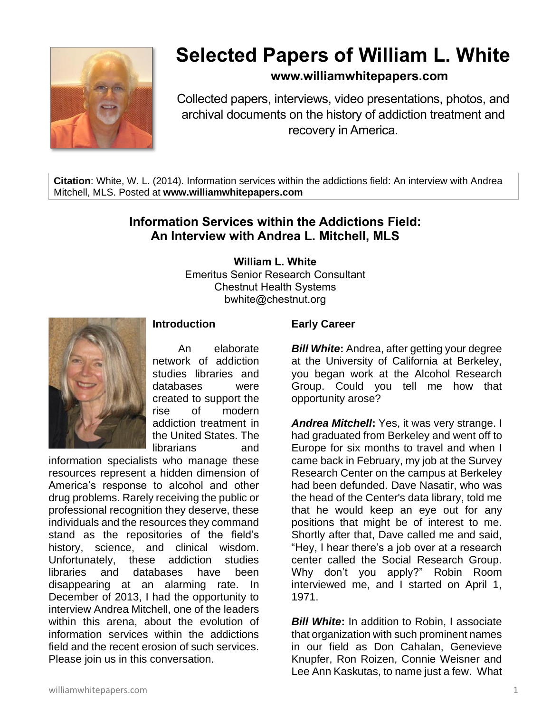

# **Selected Papers of William L. White**

# **www.williamwhitepapers.com**

Collected papers, interviews, video presentations, photos, and archival documents on the history of addiction treatment and recovery in America.

**Citation**: White, W. L. (2014). Information services within the addictions field: An interview with Andrea Mitchell, MLS. Posted at **www.williamwhitepapers.com**

# **Information Services within the Addictions Field: An Interview with Andrea L. Mitchell, MLS**

**William L. White**

Emeritus Senior Research Consultant Chestnut Health Systems bwhite@chestnut.org



## **Introduction**

 An elaborate network of addiction studies libraries and databases were created to support the rise of modern addiction treatment in the United States. The librarians and

information specialists who manage these resources represent a hidden dimension of America's response to alcohol and other drug problems. Rarely receiving the public or professional recognition they deserve, these individuals and the resources they command stand as the repositories of the field's history, science, and clinical wisdom. Unfortunately, these addiction studies libraries and databases have been disappearing at an alarming rate. In December of 2013, I had the opportunity to interview Andrea Mitchell, one of the leaders within this arena, about the evolution of information services within the addictions field and the recent erosion of such services. Please join us in this conversation.

#### **Early Career**

*Bill White:* Andrea, after getting your degree at the University of California at Berkeley, you began work at the Alcohol Research Group. Could you tell me how that opportunity arose?

*Andrea Mitchell***:** Yes, it was very strange. I had graduated from Berkeley and went off to Europe for six months to travel and when I came back in February, my job at the Survey Research Center on the campus at Berkeley had been defunded. Dave Nasatir, who was the head of the Center's data library, told me that he would keep an eye out for any positions that might be of interest to me. Shortly after that, Dave called me and said, "Hey, I hear there's a job over at a research center called the Social Research Group. Why don't you apply?" Robin Room interviewed me, and I started on April 1, 1971.

**Bill White:** In addition to Robin, I associate that organization with such prominent names in our field as Don Cahalan, Genevieve Knupfer, Ron Roizen, Connie Weisner and Lee Ann Kaskutas, to name just a few. What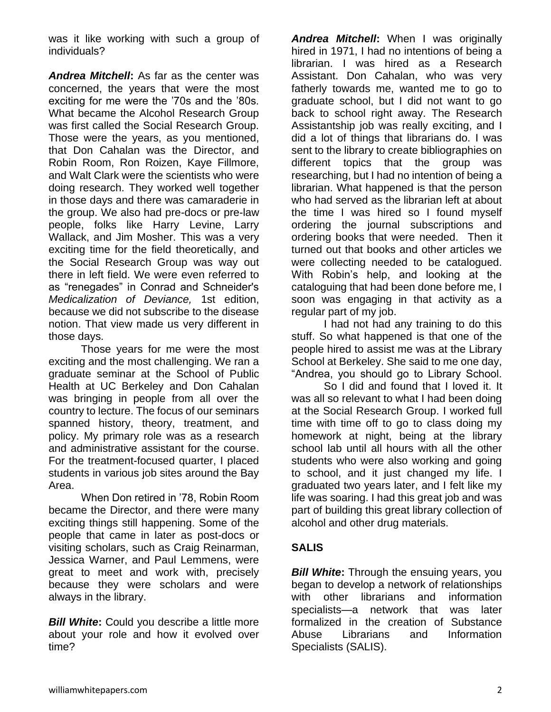was it like working with such a group of individuals?

*Andrea Mitchell***:** As far as the center was concerned, the years that were the most exciting for me were the '70s and the '80s. What became the Alcohol Research Group was first called the Social Research Group. Those were the years, as you mentioned, that Don Cahalan was the Director, and Robin Room, Ron Roizen, Kaye Fillmore, and Walt Clark were the scientists who were doing research. They worked well together in those days and there was camaraderie in the group. We also had pre-docs or pre-law people, folks like Harry Levine, Larry Wallack, and Jim Mosher. This was a very exciting time for the field theoretically, and the Social Research Group was way out there in left field. We were even referred to as "renegades" in Conrad and Schneider's *Medicalization of Deviance,* 1st edition, because we did not subscribe to the disease notion. That view made us very different in those days.

Those years for me were the most exciting and the most challenging. We ran a graduate seminar at the School of Public Health at UC Berkeley and Don Cahalan was bringing in people from all over the country to lecture. The focus of our seminars spanned history, theory, treatment, and policy. My primary role was as a research and administrative assistant for the course. For the treatment-focused quarter, I placed students in various job sites around the Bay Area.

When Don retired in '78, Robin Room became the Director, and there were many exciting things still happening. Some of the people that came in later as post-docs or visiting scholars, such as Craig Reinarman, Jessica Warner, and Paul Lemmens, were great to meet and work with, precisely because they were scholars and were always in the library.

*Bill White:* Could you describe a little more about your role and how it evolved over time?

*Andrea Mitchell***:** When I was originally hired in 1971, I had no intentions of being a librarian. I was hired as a Research Assistant. Don Cahalan, who was very fatherly towards me, wanted me to go to graduate school, but I did not want to go back to school right away. The Research Assistantship job was really exciting, and I did a lot of things that librarians do. I was sent to the library to create bibliographies on different topics that the group was researching, but I had no intention of being a librarian. What happened is that the person who had served as the librarian left at about the time I was hired so I found myself ordering the journal subscriptions and ordering books that were needed. Then it turned out that books and other articles we were collecting needed to be catalogued. With Robin's help, and looking at the cataloguing that had been done before me, I soon was engaging in that activity as a regular part of my job.

I had not had any training to do this stuff. So what happened is that one of the people hired to assist me was at the Library School at Berkeley. She said to me one day, "Andrea, you should go to Library School.

So I did and found that I loved it. It was all so relevant to what I had been doing at the Social Research Group. I worked full time with time off to go to class doing my homework at night, being at the library school lab until all hours with all the other students who were also working and going to school, and it just changed my life. I graduated two years later, and I felt like my life was soaring. I had this great job and was part of building this great library collection of alcohol and other drug materials.

#### **SALIS**

*Bill White:* Through the ensuing years, you began to develop a network of relationships with other librarians and information specialists—a network that was later formalized in the creation of Substance Abuse Librarians and Information Specialists (SALIS).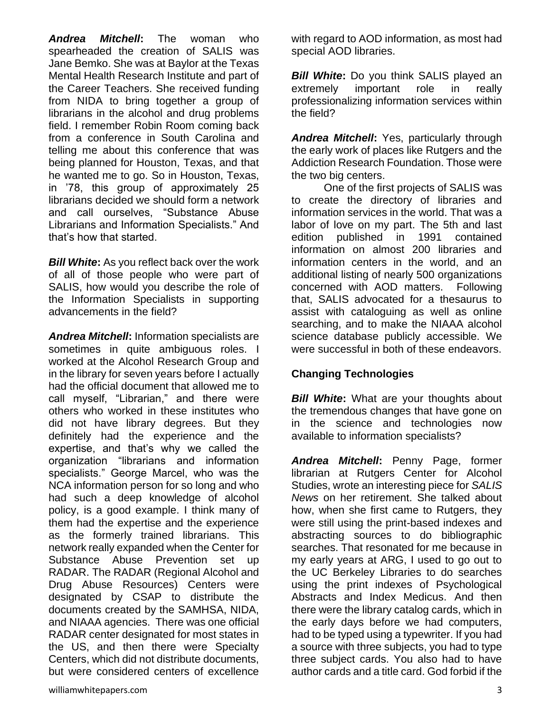*Andrea Mitchell***:** The woman who spearheaded the creation of SALIS was Jane Bemko. She was at Baylor at the Texas Mental Health Research Institute and part of the Career Teachers. She received funding from NIDA to bring together a group of librarians in the alcohol and drug problems field. I remember Robin Room coming back from a conference in South Carolina and telling me about this conference that was being planned for Houston, Texas, and that he wanted me to go. So in Houston, Texas, in '78, this group of approximately 25 librarians decided we should form a network and call ourselves, "Substance Abuse Librarians and Information Specialists." And that's how that started.

*Bill White***:** As you reflect back over the work of all of those people who were part of SALIS, how would you describe the role of the Information Specialists in supporting advancements in the field?

*Andrea Mitchell***:** Information specialists are sometimes in quite ambiguous roles. I worked at the Alcohol Research Group and in the library for seven years before I actually had the official document that allowed me to call myself, "Librarian," and there were others who worked in these institutes who did not have library degrees. But they definitely had the experience and the expertise, and that's why we called the organization "librarians and information specialists." George Marcel, who was the NCA information person for so long and who had such a deep knowledge of alcohol policy, is a good example. I think many of them had the expertise and the experience as the formerly trained librarians. This network really expanded when the Center for Substance Abuse Prevention set up RADAR. The RADAR (Regional Alcohol and Drug Abuse Resources) Centers were designated by CSAP to distribute the documents created by the SAMHSA, NIDA, and NIAAA agencies. There was one official RADAR center designated for most states in the US, and then there were Specialty Centers, which did not distribute documents, but were considered centers of excellence

*Bill White:* Do you think SALIS played an extremely important role in really professionalizing information services within the field?

*Andrea Mitchell***:** Yes, particularly through the early work of places like Rutgers and the Addiction Research Foundation. Those were the two big centers.

One of the first projects of SALIS was to create the directory of libraries and information services in the world. That was a labor of love on my part. The 5th and last edition published in 1991 contained information on almost 200 libraries and information centers in the world, and an additional listing of nearly 500 organizations concerned with AOD matters. Following that, SALIS advocated for a thesaurus to assist with cataloguing as well as online searching, and to make the NIAAA alcohol science database publicly accessible. We were successful in both of these endeavors.

## **Changing Technologies**

**Bill White:** What are your thoughts about the tremendous changes that have gone on in the science and technologies now available to information specialists?

*Andrea Mitchell***:** Penny Page, former librarian at Rutgers Center for Alcohol Studies, wrote an interesting piece for *SALIS News* on her retirement. She talked about how, when she first came to Rutgers, they were still using the print-based indexes and abstracting sources to do bibliographic searches. That resonated for me because in my early years at ARG, I used to go out to the UC Berkeley Libraries to do searches using the print indexes of Psychological Abstracts and Index Medicus. And then there were the library catalog cards, which in the early days before we had computers, had to be typed using a typewriter. If you had a source with three subjects, you had to type three subject cards. You also had to have author cards and a title card. God forbid if the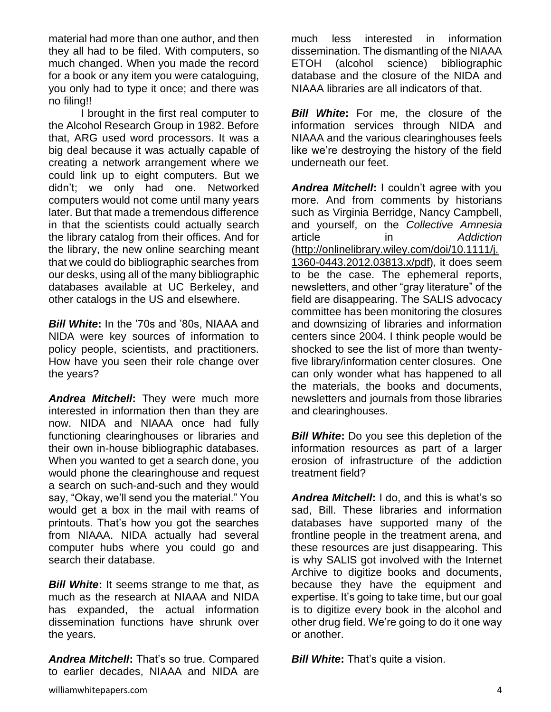material had more than one author, and then they all had to be filed. With computers, so much changed. When you made the record for a book or any item you were cataloguing, you only had to type it once; and there was no filing!!

I brought in the first real computer to the Alcohol Research Group in 1982. Before that, ARG used word processors. It was a big deal because it was actually capable of creating a network arrangement where we could link up to eight computers. But we didn't; we only had one. Networked computers would not come until many years later. But that made a tremendous difference in that the scientists could actually search the library catalog from their offices. And for the library, the new online searching meant that we could do bibliographic searches from our desks, using all of the many bibliographic databases available at UC Berkeley, and other catalogs in the US and elsewhere.

*Bill White***:** In the '70s and '80s, NIAAA and NIDA were key sources of information to policy people, scientists, and practitioners. How have you seen their role change over the years?

*Andrea Mitchell***:** They were much more interested in information then than they are now. NIDA and NIAAA once had fully functioning clearinghouses or libraries and their own in-house bibliographic databases. When you wanted to get a search done, you would phone the clearinghouse and request a search on such-and-such and they would say, "Okay, we'll send you the material." You would get a box in the mail with reams of printouts. That's how you got the searches from NIAAA. NIDA actually had several computer hubs where you could go and search their database.

*Bill White***:** It seems strange to me that, as much as the research at NIAAA and NIDA has expanded, the actual information dissemination functions have shrunk over the years.

*Andrea Mitchell***:** That's so true. Compared to earlier decades, NIAAA and NIDA are much less interested in information dissemination. The dismantling of the NIAAA ETOH (alcohol science) bibliographic database and the closure of the NIDA and NIAAA libraries are all indicators of that.

**Bill White:** For me, the closure of the information services through NIDA and NIAAA and the various clearinghouses feels like we're destroying the history of the field underneath our feet.

*Andrea Mitchell***:** I couldn't agree with you more. And from comments by historians such as Virginia Berridge, Nancy Campbell, and yourself, on the *Collective Amnesia* article in *Addiction*  [\(http://onlinelibrary.wiley.com/doi/10.1111/j.](http://onlinelibrary.wiley.com/doi/10.1111/j.1360-0443.2012.03813.x/pdf) [1360-0443.2012.03813.x/pdf\)](http://onlinelibrary.wiley.com/doi/10.1111/j.1360-0443.2012.03813.x/pdf)*,* it does seem to be the case. The ephemeral reports, newsletters, and other "gray literature" of the field are disappearing. The SALIS advocacy committee has been monitoring the closures and downsizing of libraries and information centers since 2004. I think people would be shocked to see the list of more than twentyfive library/information center closures. One can only wonder what has happened to all the materials, the books and documents, newsletters and journals from those libraries and clearinghouses.

*Bill White:* Do you see this depletion of the information resources as part of a larger erosion of infrastructure of the addiction treatment field?

*Andrea Mitchell***:** I do, and this is what's so sad, Bill. These libraries and information databases have supported many of the frontline people in the treatment arena, and these resources are just disappearing. This is why SALIS got involved with the Internet Archive to digitize books and documents, because they have the equipment and expertise. It's going to take time, but our goal is to digitize every book in the alcohol and other drug field. We're going to do it one way or another.

*Bill White***:** That's quite a vision.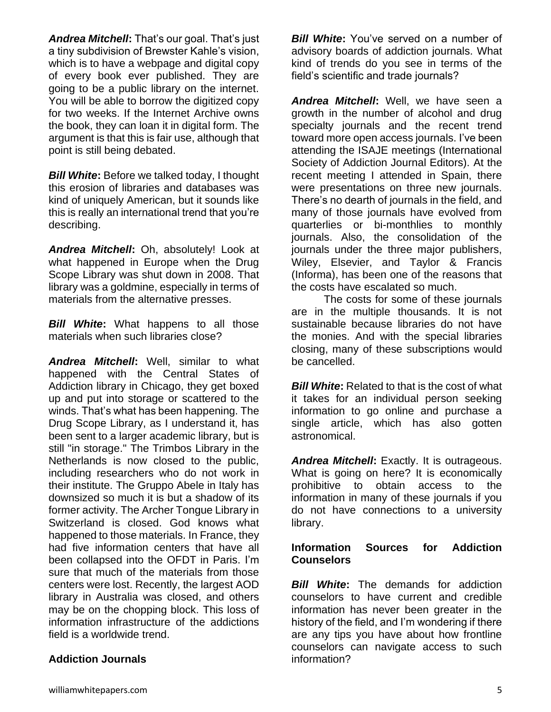*Andrea Mitchell***:** That's our goal. That's just a tiny subdivision of Brewster Kahle's vision, which is to have a webpage and digital copy of every book ever published. They are going to be a public library on the internet. You will be able to borrow the digitized copy for two weeks. If the Internet Archive owns the book, they can loan it in digital form. The argument is that this is fair use, although that point is still being debated.

*Bill White***:** Before we talked today, I thought this erosion of libraries and databases was kind of uniquely American, but it sounds like this is really an international trend that you're describing.

*Andrea Mitchell***:** Oh, absolutely! Look at what happened in Europe when the Drug Scope Library was shut down in 2008. That library was a goldmine, especially in terms of materials from the alternative presses.

*Bill White***:** What happens to all those materials when such libraries close?

*Andrea Mitchell***:** Well, similar to what happened with the Central States of Addiction library in Chicago, they get boxed up and put into storage or scattered to the winds. That's what has been happening. The Drug Scope Library, as I understand it, has been sent to a larger academic library, but is still "in storage." The Trimbos Library in the Netherlands is now closed to the public, including researchers who do not work in their institute. The Gruppo Abele in Italy has downsized so much it is but a shadow of its former activity. The Archer Tongue Library in Switzerland is closed. God knows what happened to those materials. In France, they had five information centers that have all been collapsed into the OFDT in Paris. I'm sure that much of the materials from those centers were lost. Recently, the largest AOD library in Australia was closed, and others may be on the chopping block. This loss of information infrastructure of the addictions field is a worldwide trend.

#### **Addiction Journals**

*Bill White***:** You've served on a number of advisory boards of addiction journals. What kind of trends do you see in terms of the field's scientific and trade journals?

*Andrea Mitchell***:** Well, we have seen a growth in the number of alcohol and drug specialty journals and the recent trend toward more open access journals. I've been attending the ISAJE meetings (International Society of Addiction Journal Editors). At the recent meeting I attended in Spain, there were presentations on three new journals. There's no dearth of journals in the field, and many of those journals have evolved from quarterlies or bi-monthlies to monthly journals. Also, the consolidation of the journals under the three major publishers, Wiley, Elsevier, and Taylor & Francis (Informa), has been one of the reasons that the costs have escalated so much.

The costs for some of these journals are in the multiple thousands. It is not sustainable because libraries do not have the monies. And with the special libraries closing, many of these subscriptions would be cancelled.

*Bill White:* Related to that is the cost of what it takes for an individual person seeking information to go online and purchase a single article, which has also gotten astronomical.

*Andrea Mitchell***:** Exactly. It is outrageous. What is going on here? It is economically prohibitive to obtain access to the information in many of these journals if you do not have connections to a university library.

#### **Information Sources for Addiction Counselors**

*Bill White***:** The demands for addiction counselors to have current and credible information has never been greater in the history of the field, and I'm wondering if there are any tips you have about how frontline counselors can navigate access to such information?